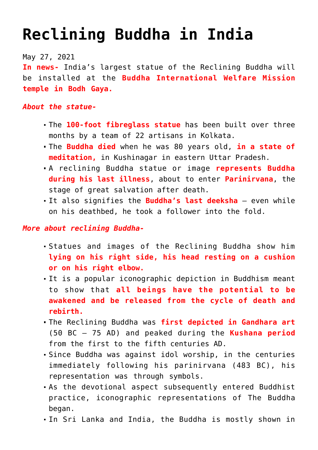## **[Reclining Buddha in India](https://journalsofindia.com/reclining-buddha-in-india/)**

May 27, 2021

**In news-** India's largest statue of the Reclining Buddha will be installed at the **Buddha International Welfare Mission temple in Bodh Gaya.**

## *About the statue-*

- The **100-foot fibreglass statue** has been built over three months by a team of 22 artisans in Kolkata.
- The **Buddha died** when he was 80 years old, **in a state of meditation,** in Kushinagar in eastern Uttar Pradesh.
- A reclining Buddha statue or image **represents Buddha during his last illness**, about to enter **Parinirvana**, the stage of great salvation after death.
- It also signifies the **Buddha's last deeksha** even while on his deathbed, he took a follower into the fold.

## *More about reclining Buddha-*

- Statues and images of the Reclining Buddha show him **lying on his right side, his head resting on a cushion or on his right elbow.**
- It is a popular iconographic depiction in Buddhism meant to show that **all beings have the potential to be awakened and be released from the cycle of death and rebirth.**
- The Reclining Buddha was **first depicted in Gandhara art** (50 BC – 75 AD) and peaked during the **Kushana period** from the first to the fifth centuries AD.
- Since Buddha was against idol worship, in the centuries immediately following his parinirvana (483 BC), his representation was through symbols.
- As the devotional aspect subsequently entered Buddhist practice, iconographic representations of The Buddha began.
- In Sri Lanka and India, the Buddha is mostly shown in